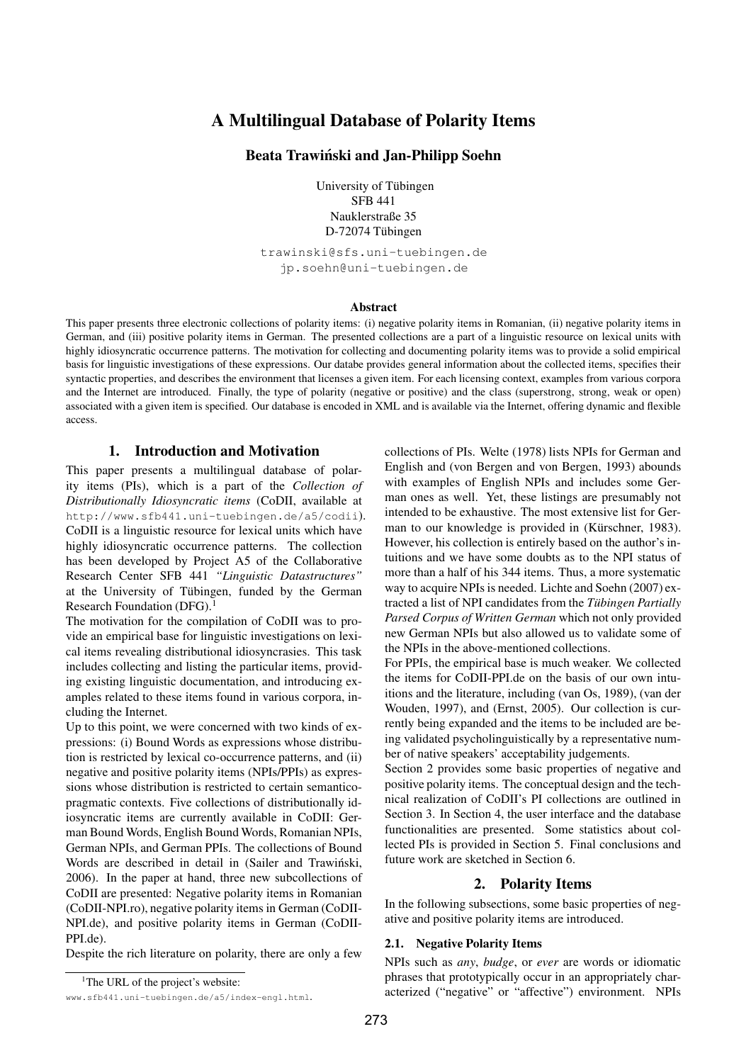# **A Multilingual Database of Polarity Items**

# **Beata Trawinski ´ and Jan-Philipp Soehn**

University of Tübingen SFB 441 Nauklerstraße 35 D-72074 Tübingen

trawinski@sfs.uni-tuebingen.de jp.soehn@uni-tuebingen.de

#### **Abstract**

This paper presents three electronic collections of polarity items: (i) negative polarity items in Romanian, (ii) negative polarity items in German, and (iii) positive polarity items in German. The presented collections are a part of a linguistic resource on lexical units with highly idiosyncratic occurrence patterns. The motivation for collecting and documenting polarity items was to provide a solid empirical basis for linguistic investigations of these expressions. Our databe provides general information about the collected items, specifies their syntactic properties, and describes the environment that licenses a given item. For each licensing context, examples from various corpora and the Internet are introduced. Finally, the type of polarity (negative or positive) and the class (superstrong, strong, weak or open) associated with a given item is specified. Our database is encoded in XML and is available via the Internet, offering dynamic and flexible access.

## **1. Introduction and Motivation**

This paper presents a multilingual database of polarity items (PIs), which is a part of the *Collection of Distributionally Idiosyncratic items* (CoDII, available at http://www.sfb441.uni-tuebingen.de/a5/codii). CoDII is a linguistic resource for lexical units which have highly idiosyncratic occurrence patterns. The collection has been developed by Project A5 of the Collaborative Research Center SFB 441 *"Linguistic Datastructures"* at the University of Tübingen, funded by the German Research Foundation (DFG).<sup>1</sup>

The motivation for the compilation of CoDII was to provide an empirical base for linguistic investigations on lexical items revealing distributional idiosyncrasies. This task includes collecting and listing the particular items, providing existing linguistic documentation, and introducing examples related to these items found in various corpora, including the Internet.

Up to this point, we were concerned with two kinds of expressions: (i) Bound Words as expressions whose distribution is restricted by lexical co-occurrence patterns, and (ii) negative and positive polarity items (NPIs/PPIs) as expressions whose distribution is restricted to certain semanticopragmatic contexts. Five collections of distributionally idiosyncratic items are currently available in CoDII: German Bound Words, English Bound Words, Romanian NPIs, German NPIs, and German PPIs. The collections of Bound Words are described in detail in (Sailer and Trawinski, 2006). In the paper at hand, three new subcollections of CoDII are presented: Negative polarity items in Romanian (CoDII-NPI.ro), negative polarity items in German (CoDII-NPI.de), and positive polarity items in German (CoDII-PPI.de).

Despite the rich literature on polarity, there are only a few

www.sfb441.uni-tuebingen.de/a5/index-engl.html.

collections of PIs. Welte (1978) lists NPIs for German and English and (von Bergen and von Bergen, 1993) abounds with examples of English NPIs and includes some German ones as well. Yet, these listings are presumably not intended to be exhaustive. The most extensive list for German to our knowledge is provided in (Kürschner, 1983). However, his collection is entirely based on the author's intuitions and we have some doubts as to the NPI status of more than a half of his 344 items. Thus, a more systematic way to acquire NPIs is needed. Lichte and Soehn (2007) extracted a list of NPI candidates from the *Tübingen Partially Parsed Corpus of Written German* which not only provided new German NPIs but also allowed us to validate some of the NPIs in the above-mentioned collections.

For PPIs, the empirical base is much weaker. We collected the items for CoDII-PPI.de on the basis of our own intuitions and the literature, including (van Os, 1989), (van der Wouden, 1997), and (Ernst, 2005). Our collection is currently being expanded and the items to be included are being validated psycholinguistically by a representative number of native speakers' acceptability judgements.

Section 2 provides some basic properties of negative and positive polarity items. The conceptual design and the technical realization of CoDII's PI collections are outlined in Section 3. In Section 4, the user interface and the database functionalities are presented. Some statistics about collected PIs is provided in Section 5. Final conclusions and future work are sketched in Section 6.

### **2. Polarity Items**

In the following subsections, some basic properties of negative and positive polarity items are introduced.

#### **2.1. Negative Polarity Items**

NPIs such as *any*, *budge*, or *ever* are words or idiomatic phrases that prototypically occur in an appropriately characterized ("negative" or "affective") environment. NPIs

<sup>&</sup>lt;sup>1</sup>The URL of the project's website: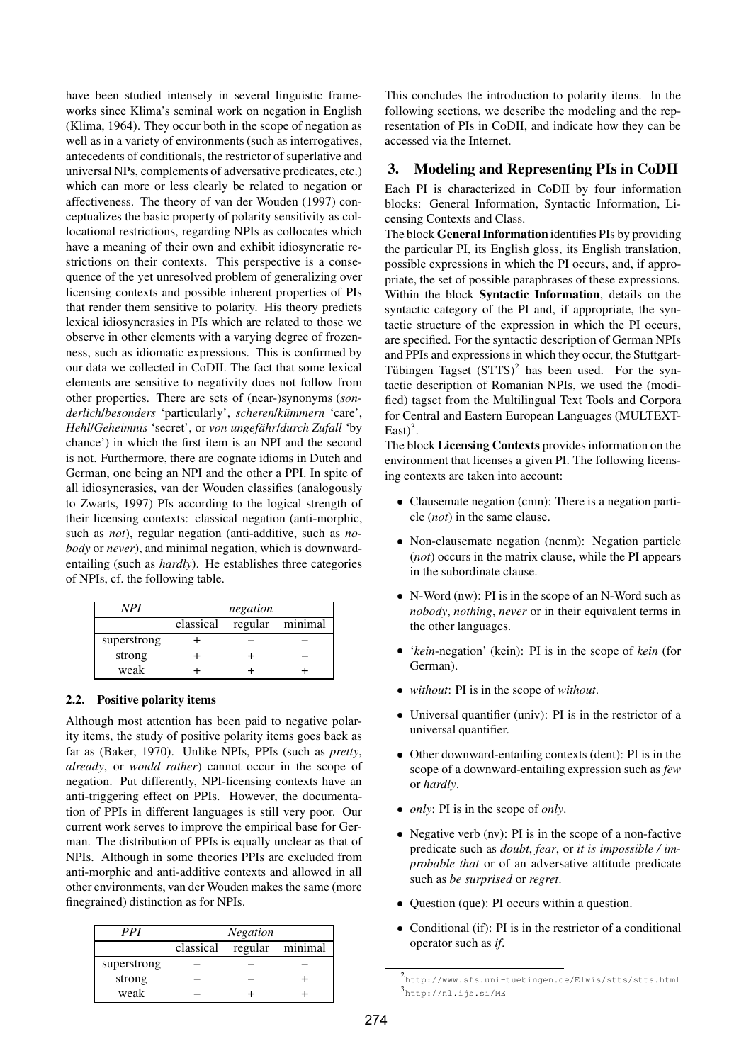have been studied intensely in several linguistic frameworks since Klima's seminal work on negation in English (Klima, 1964). They occur both in the scope of negation as well as in a variety of environments (such as interrogatives, antecedents of conditionals, the restrictor of superlative and universal NPs, complements of adversative predicates, etc.) which can more or less clearly be related to negation or affectiveness. The theory of van der Wouden (1997) conceptualizes the basic property of polarity sensitivity as collocational restrictions, regarding NPIs as collocates which have a meaning of their own and exhibit idiosyncratic restrictions on their contexts. This perspective is a consequence of the yet unresolved problem of generalizing over licensing contexts and possible inherent properties of PIs that render them sensitive to polarity. His theory predicts lexical idiosyncrasies in PIs which are related to those we observe in other elements with a varying degree of frozenness, such as idiomatic expressions. This is confirmed by our data we collected in CoDII. The fact that some lexical elements are sensitive to negativity does not follow from other properties. There are sets of (near-)synonyms (*sonderlich*/*besonders* 'particularly', *scheren*/*kummern ¨* 'care', *Hehl/Geheimnis* 'secret', or *von ungefähr/durch Zufall* 'by chance') in which the first item is an NPI and the second is not. Furthermore, there are cognate idioms in Dutch and German, one being an NPI and the other a PPI. In spite of all idiosyncrasies, van der Wouden classifies (analogously to Zwarts, 1997) PIs according to the logical strength of their licensing contexts: classical negation (anti-morphic, such as *not*), regular negation (anti-additive, such as *nobody* or *never*), and minimal negation, which is downwardentailing (such as *hardly*). He establishes three categories of NPIs, cf. the following table.

| NPI         | negation  |  |                 |  |
|-------------|-----------|--|-----------------|--|
|             | classical |  | regular minimal |  |
| superstrong |           |  |                 |  |
| strong      |           |  |                 |  |
| weak        |           |  |                 |  |

### **2.2. Positive polarity items**

Although most attention has been paid to negative polarity items, the study of positive polarity items goes back as far as (Baker, 1970). Unlike NPIs, PPIs (such as *pretty*, *already*, or *would rather*) cannot occur in the scope of negation. Put differently, NPI-licensing contexts have an anti-triggering effect on PPIs. However, the documentation of PPIs in different languages is still very poor. Our current work serves to improve the empirical base for German. The distribution of PPIs is equally unclear as that of NPIs. Although in some theories PPIs are excluded from anti-morphic and anti-additive contexts and allowed in all other environments, van der Wouden makes the same (more finegrained) distinction as for NPIs.

| PPI         | <b>Negation</b> |         |         |
|-------------|-----------------|---------|---------|
|             | classical       | regular | minimal |
| superstrong |                 |         |         |
| strong      |                 |         |         |
| weak        |                 |         |         |

This concludes the introduction to polarity items. In the following sections, we describe the modeling and the representation of PIs in CoDII, and indicate how they can be accessed via the Internet.

## **3. Modeling and Representing PIs in CoDII**

Each PI is characterized in CoDII by four information blocks: General Information, Syntactic Information, Licensing Contexts and Class.

The block **GeneralInformation** identifies PIs by providing the particular PI, its English gloss, its English translation, possible expressions in which the PI occurs, and, if appropriate, the set of possible paraphrases of these expressions. Within the block **Syntactic Information**, details on the syntactic category of the PI and, if appropriate, the syntactic structure of the expression in which the PI occurs, are specified. For the syntactic description of German NPIs and PPIs and expressions in which they occur, the Stuttgart-Tübingen Tagset  $(STTS)^2$  has been used. For the syntactic description of Romanian NPIs, we used the (modified) tagset from the Multilingual Text Tools and Corpora for Central and Eastern European Languages (MULTEXT-East $)^3$ .

The block **Licensing Contexts** provides information on the environment that licenses a given PI. The following licensing contexts are taken into account:

- Clausemate negation (cmn): There is a negation particle (*not*) in the same clause.
- Non-clausemate negation (ncnm): Negation particle (*not*) occurs in the matrix clause, while the PI appears in the subordinate clause.
- N-Word (nw): PI is in the scope of an N-Word such as *nobody*, *nothing*, *never* or in their equivalent terms in the other languages.
- '*kein*-negation' (kein): PI is in the scope of *kein* (for German).
- *without*: PI is in the scope of *without*.
- Universal quantifier (univ): PI is in the restrictor of a universal quantifier.
- Other downward-entailing contexts (dent): PI is in the scope of a downward-entailing expression such as *few* or *hardly*.
- *only*: PI is in the scope of *only*.
- Negative verb (nv): PI is in the scope of a non-factive predicate such as *doubt*, *fear*, or *it is impossible / improbable that* or of an adversative attitude predicate such as *be surprised* or *regret*.
- Question (que): PI occurs within a question.
- Conditional (if): PI is in the restrictor of a conditional operator such as *if*.

<sup>2</sup> http://www.sfs.uni-tuebingen.de/Elwis/stts/stts.html 3 http://nl.ijs.si/ME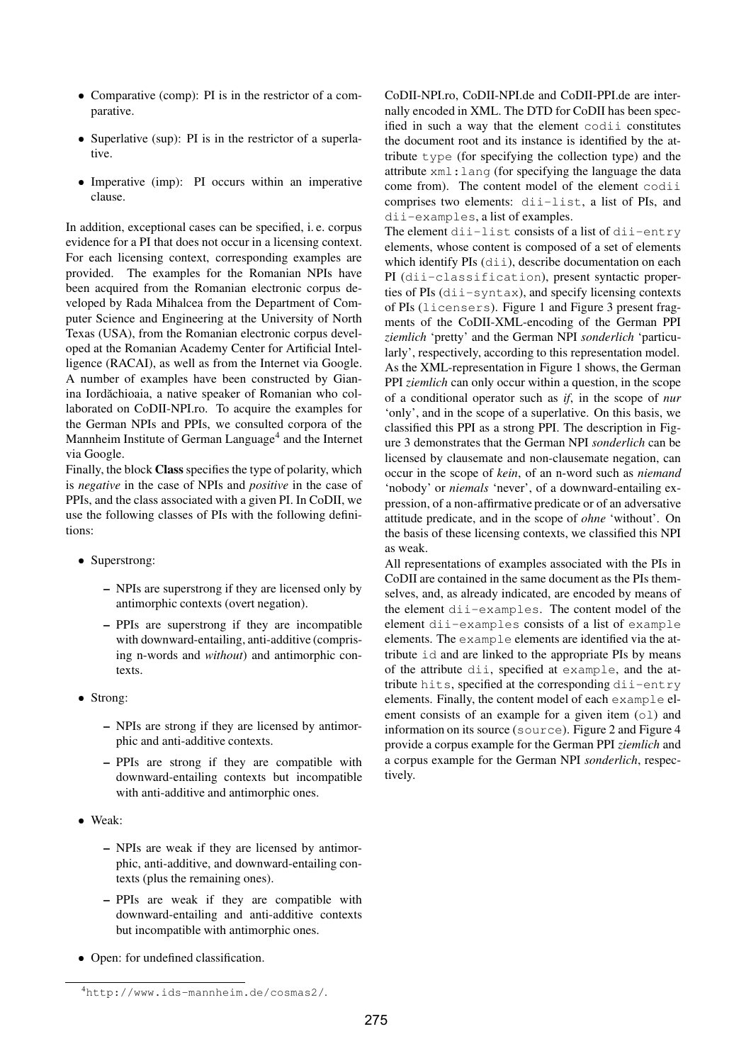- Comparative (comp): PI is in the restrictor of a comparative.
- Superlative (sup): PI is in the restrictor of a superlative.
- Imperative (imp): PI occurs within an imperative clause.

In addition, exceptional cases can be specified, i. e. corpus evidence for a PI that does not occur in a licensing context. For each licensing context, corresponding examples are provided. The examples for the Romanian NPIs have been acquired from the Romanian electronic corpus developed by Rada Mihalcea from the Department of Computer Science and Engineering at the University of North Texas (USA), from the Romanian electronic corpus developed at the Romanian Academy Center for Artificial Intelligence (RACAI), as well as from the Internet via Google. A number of examples have been constructed by Gianina Iordăchioaia, a native speaker of Romanian who collaborated on CoDII-NPI.ro. To acquire the examples for the German NPIs and PPIs, we consulted corpora of the Mannheim Institute of German Language<sup>4</sup> and the Internet via Google.

Finally, the block **Class** specifies the type of polarity, which is *negative* in the case of NPIs and *positive* in the case of PPIs, and the class associated with a given PI. In CoDII, we use the following classes of PIs with the following definitions:

- Superstrong:
	- **–** NPIs are superstrong if they are licensed only by antimorphic contexts (overt negation).
	- **–** PPIs are superstrong if they are incompatible with downward-entailing, anti-additive (comprising n-words and *without*) and antimorphic contexts.
- Strong:
	- **–** NPIs are strong if they are licensed by antimorphic and anti-additive contexts.
	- **–** PPIs are strong if they are compatible with downward-entailing contexts but incompatible with anti-additive and antimorphic ones.
- Weak:
	- **–** NPIs are weak if they are licensed by antimorphic, anti-additive, and downward-entailing contexts (plus the remaining ones).
	- **–** PPIs are weak if they are compatible with downward-entailing and anti-additive contexts but incompatible with antimorphic ones.
- Open: for undefined classification.

The element dii-list consists of a list of dii-entry elements, whose content is composed of a set of elements which identify PIs (dii), describe documentation on each PI (dii-classification), present syntactic properties of PIs (dii-syntax), and specify licensing contexts of PIs (licensers). Figure 1 and Figure 3 present fragments of the CoDII-XML-encoding of the German PPI *ziemlich* 'pretty' and the German NPI *sonderlich* 'particularly', respectively, according to this representation model. As the XML-representation in Figure 1 shows, the German PPI *ziemlich* can only occur within a question, in the scope of a conditional operator such as *if*, in the scope of *nur* 'only', and in the scope of a superlative. On this basis, we classified this PPI as a strong PPI. The description in Figure 3 demonstrates that the German NPI *sonderlich* can be licensed by clausemate and non-clausemate negation, can occur in the scope of *kein*, of an n-word such as *niemand* 'nobody' or *niemals* 'never', of a downward-entailing expression, of a non-affirmative predicate or of an adversative attitude predicate, and in the scope of *ohne* 'without'. On the basis of these licensing contexts, we classified this NPI as weak.

All representations of examples associated with the PIs in CoDII are contained in the same document as the PIs themselves, and, as already indicated, are encoded by means of the element dii-examples. The content model of the element dii-examples consists of a list of example elements. The example elements are identified via the attribute id and are linked to the appropriate PIs by means of the attribute dii, specified at example, and the attribute hits, specified at the corresponding dii-entry elements. Finally, the content model of each example element consists of an example for a given item  $(01)$  and information on its source (source). Figure 2 and Figure 4 provide a corpus example for the German PPI *ziemlich* and a corpus example for the German NPI *sonderlich*, respectively.

CoDII-NPI.ro, CoDII-NPI.de and CoDII-PPI.de are internally encoded in XML. The DTD for CoDII has been specified in such a way that the element codii constitutes the document root and its instance is identified by the attribute type (for specifying the collection type) and the attribute xml:lang (for specifying the language the data come from). The content model of the element codii comprises two elements: dii-list, a list of PIs, and dii-examples, a list of examples.

<sup>4</sup>http://www.ids-mannheim.de/cosmas2/.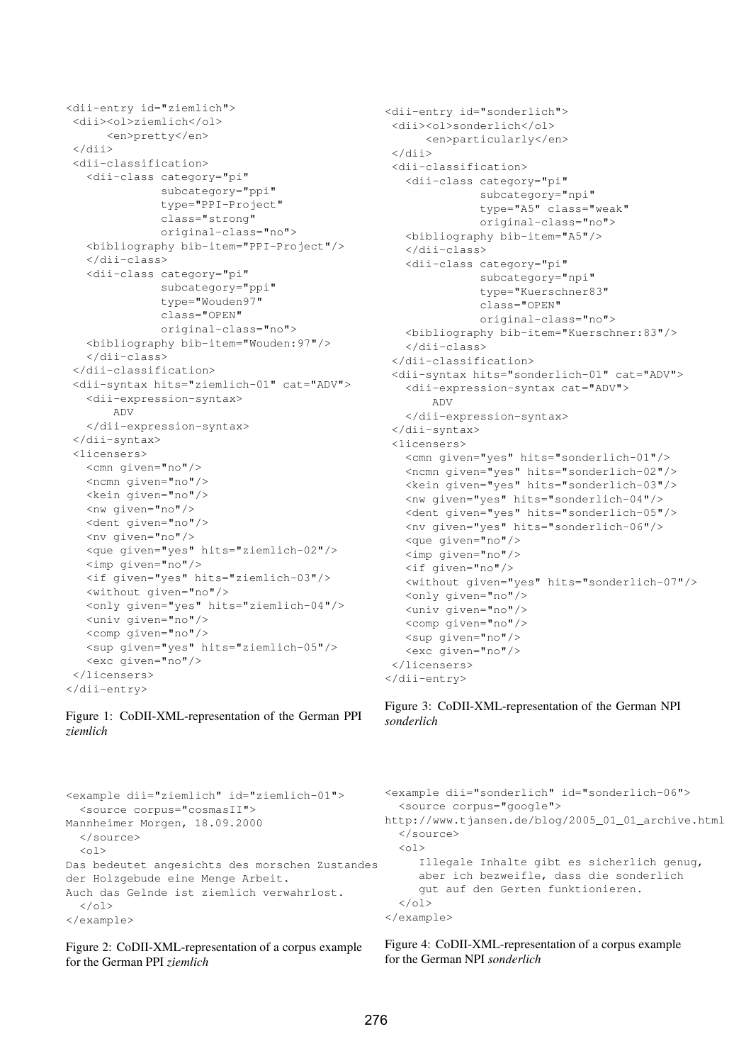```
<dii-entry id="ziemlich">
 <dii><ol>ziemlich</ol>
      <en>pretty</en>
 </dii>
 <dii-classification>
   <dii-class category="pi"
              subcategory="ppi"
              type="PPI-Project"
              class="strong"
              original-class="no">
   <bibliography bib-item="PPI-Project"/>
   </dii-class>
   <dii-class category="pi"
              subcategory="ppi"
              type="Wouden97"
              class="OPEN"
              original-class="no">
   <bibliography bib-item="Wouden:97"/>
   </dii-class>
 </dii-classification>
 <dii-syntax hits="ziemlich-01" cat="ADV">
   <dii-expression-syntax>
       ADV
   </dii-expression-syntax>
 </dii-syntax>
 <licensers>
   <cmn given="no"/>
   <ncmn given="no"/>
   <kein given="no"/>
   <nw given="no"/>
   <dent given="no"/>
   <nv given="no"/>
   <que given="yes" hits="ziemlich-02"/>
   <imp given="no"/>
   <if given="yes" hits="ziemlich-03"/>
   <without given="no"/>
   <only given="yes" hits="ziemlich-04"/>
   <univ given="no"/>
   <comp given="no"/>
   <sup given="yes" hits="ziemlich-05"/>
   <exc given="no"/>
 </licensers>
</dii-entry>
```

```
Figure 1: CoDII-XML-representation of the German PPI
ziemlich
```

```
<dii-entry id="sonderlich">
<dii><ol>sonderlich</ol>
      <en>particularly</en>
 </dii>
<dii-classification>
  <dii-class category="pi"
              subcategory="npi"
              type="A5" class="weak"
              original-class="no">
  <bibliography bib-item="A5"/>
   </dii-class>
   <dii-class category="pi"
              subcategory="npi"
              type="Kuerschner83"
              class="OPEN"
              original-class="no">
  <bibliography bib-item="Kuerschner:83"/>
   </dii-class>
 </dii-classification>
 <dii-syntax hits="sonderlich-01" cat="ADV">
   <dii-expression-syntax cat="ADV">
       ADV
   </dii-expression-syntax>
</dii-syntax>
 <licensers>
   <cmn given="yes" hits="sonderlich-01"/>
   <ncmn given="yes" hits="sonderlich-02"/>
   <kein given="yes" hits="sonderlich-03"/>
   <nw given="yes" hits="sonderlich-04"/>
   <dent given="yes" hits="sonderlich-05"/>
   <nv given="yes" hits="sonderlich-06"/>
   <que given="no"/>
   <imp given="no"/>
   <if given="no"/>
   <without given="yes" hits="sonderlich-07"/>
   <only given="no"/>
   <univ given="no"/>
   <comp given="no"/>
   <sup given="no"/>
   <exc given="no"/>
 </licensers>
</dii-entry>
```
Figure 3: CoDII-XML-representation of the German NPI *sonderlich*

```
<example dii="ziemlich" id="ziemlich-01">
  <source corpus="cosmasII">
Mannheimer Morgen, 18.09.2000
  </source>
  \langle 0 1 \rangleDas bedeutet angesichts des morschen Zustandes
der Holzgebude eine Menge Arbeit.
Auch das Gelnde ist ziemlich verwahrlost.
  \langle/\circl></example>
```
Figure 2: CoDII-XML-representation of a corpus example for the German PPI *ziemlich*

```
<example dii="sonderlich" id="sonderlich-06">
  <source corpus="google">
http://www.tjansen.de/blog/2005_01_01_archive.html
  </source>
  <sub>ol</sub></sub>
     Illegale Inhalte gibt es sicherlich genug,
     aber ich bezweifle, dass die sonderlich
     gut auf den Gerten funktionieren.
  \langle/ol>
</example>
```
Figure 4: CoDII-XML-representation of a corpus example for the German NPI *sonderlich*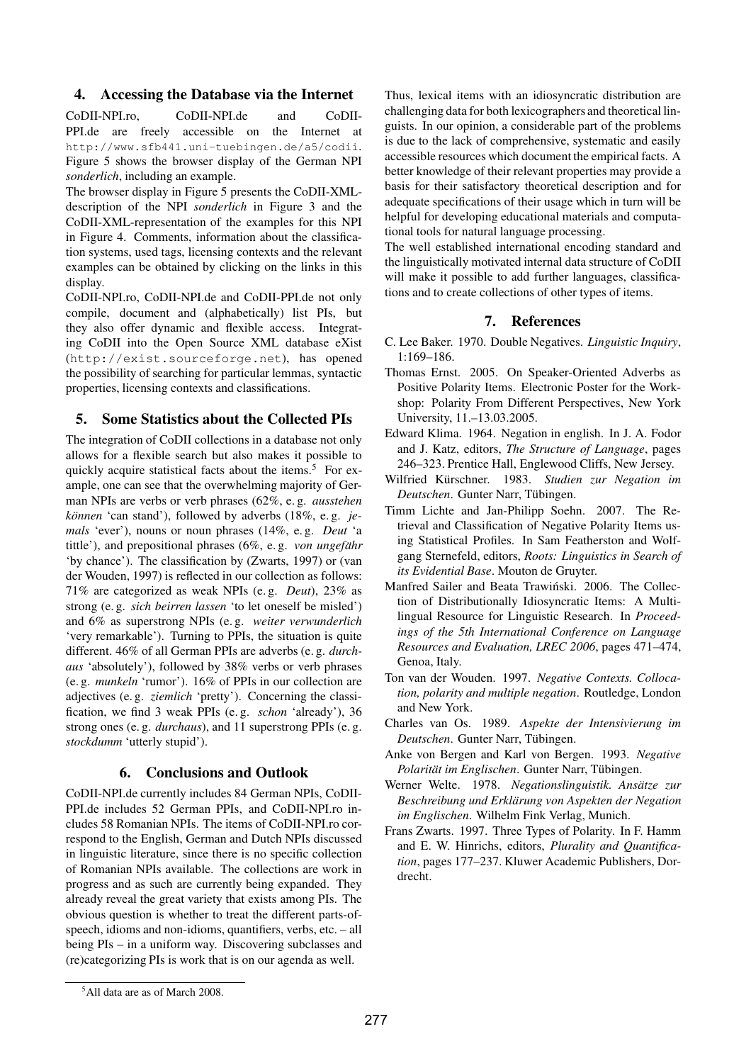## **4. Accessing the Database via the Internet**

CoDII-NPI.ro, CoDII-NPI.de and CoDII-PPI.de are freely accessible on the Internet at http://www.sfb441.uni-tuebingen.de/a5/codii. Figure 5 shows the browser display of the German NPI *sonderlich*, including an example.

The browser display in Figure 5 presents the CoDII-XMLdescription of the NPI *sonderlich* in Figure 3 and the CoDII-XML-representation of the examples for this NPI in Figure 4. Comments, information about the classification systems, used tags, licensing contexts and the relevant examples can be obtained by clicking on the links in this display.

CoDII-NPI.ro, CoDII-NPI.de and CoDII-PPI.de not only compile, document and (alphabetically) list PIs, but they also offer dynamic and flexible access. Integrating CoDII into the Open Source XML database eXist (http://exist.sourceforge.net), has opened the possibility of searching for particular lemmas, syntactic properties, licensing contexts and classifications.

# **5. Some Statistics about the Collected PIs**

The integration of CoDII collections in a database not only allows for a flexible search but also makes it possible to quickly acquire statistical facts about the items.<sup>5</sup> For example, one can see that the overwhelming majority of German NPIs are verbs or verb phrases (62%, e. g. *ausstehen können* 'can stand'), followed by adverbs (18%, e.g. *jemals* 'ever'), nouns or noun phrases (14%, e. g. *Deut* 'a tittle'), and prepositional phrases (6%, e. g. *von ungefahr ¨* 'by chance'). The classification by (Zwarts, 1997) or (van der Wouden, 1997) is reflected in our collection as follows: 71% are categorized as weak NPIs (e. g. *Deut*), 23% as strong (e. g. *sich beirren lassen* 'to let oneself be misled') and 6% as superstrong NPIs (e. g. *weiter verwunderlich* 'very remarkable'). Turning to PPIs, the situation is quite different. 46% of all German PPIs are adverbs (e. g. *durchaus* 'absolutely'), followed by 38% verbs or verb phrases (e. g. *munkeln* 'rumor'). 16% of PPIs in our collection are adjectives (e. g. *ziemlich* 'pretty'). Concerning the classification, we find 3 weak PPIs (e. g. *schon* 'already'), 36 strong ones (e. g. *durchaus*), and 11 superstrong PPIs (e. g. *stockdumm* 'utterly stupid').

# **6. Conclusions and Outlook**

CoDII-NPI.de currently includes 84 German NPIs, CoDII-PPI.de includes 52 German PPIs, and CoDII-NPI.ro includes 58 Romanian NPIs. The items of CoDII-NPI.ro correspond to the English, German and Dutch NPIs discussed in linguistic literature, since there is no specific collection of Romanian NPIs available. The collections are work in progress and as such are currently being expanded. They already reveal the great variety that exists among PIs. The obvious question is whether to treat the different parts-ofspeech, idioms and non-idioms, quantifiers, verbs, etc. – all being PIs – in a uniform way. Discovering subclasses and (re)categorizing PIs is work that is on our agenda as well.

Thus, lexical items with an idiosyncratic distribution are challenging data for both lexicographers and theoretical linguists. In our opinion, a considerable part of the problems is due to the lack of comprehensive, systematic and easily accessible resources which document the empirical facts. A better knowledge of their relevant properties may provide a basis for their satisfactory theoretical description and for adequate specifications of their usage which in turn will be helpful for developing educational materials and computational tools for natural language processing.

The well established international encoding standard and the linguistically motivated internal data structure of CoDII will make it possible to add further languages, classifications and to create collections of other types of items.

# **7. References**

- C. Lee Baker. 1970. Double Negatives. *Linguistic Inquiry*, 1:169–186.
- Thomas Ernst. 2005. On Speaker-Oriented Adverbs as Positive Polarity Items. Electronic Poster for the Workshop: Polarity From Different Perspectives, New York University, 11.–13.03.2005.
- Edward Klima. 1964. Negation in english. In J. A. Fodor and J. Katz, editors, *The Structure of Language*, pages 246–323. Prentice Hall, Englewood Cliffs, New Jersey.
- Wilfried Kürschner. 1983. Studien zur Negation im *Deutschen*. Gunter Narr, Tubingen. ¨
- Timm Lichte and Jan-Philipp Soehn. 2007. The Retrieval and Classification of Negative Polarity Items using Statistical Profiles. In Sam Featherston and Wolfgang Sternefeld, editors, *Roots: Linguistics in Search of its Evidential Base*. Mouton de Gruyter.
- Manfred Sailer and Beata Trawiński. 2006. The Collection of Distributionally Idiosyncratic Items: A Multilingual Resource for Linguistic Research. In *Proceedings of the 5th International Conference on Language Resources and Evaluation, LREC 2006*, pages 471–474, Genoa, Italy.
- Ton van der Wouden. 1997. *Negative Contexts. Collocation, polarity and multiple negation*. Routledge, London and New York.
- Charles van Os. 1989. *Aspekte der Intensivierung im Deutschen*. Gunter Narr, Tubingen. ¨
- Anke von Bergen and Karl von Bergen. 1993. *Negative Polaritat¨ im Englischen*. Gunter Narr, Tubingen. ¨
- Werner Welte. 1978. Negationslinguistik. Ansätze zur *Beschreibung und Erklarung ¨ von Aspekten der Negation im Englischen*. Wilhelm Fink Verlag, Munich.
- Frans Zwarts. 1997. Three Types of Polarity. In F. Hamm and E. W. Hinrichs, editors, *Plurality and Quantification*, pages 177–237. Kluwer Academic Publishers, Dordrecht.

<sup>5</sup>All data are as of March 2008.